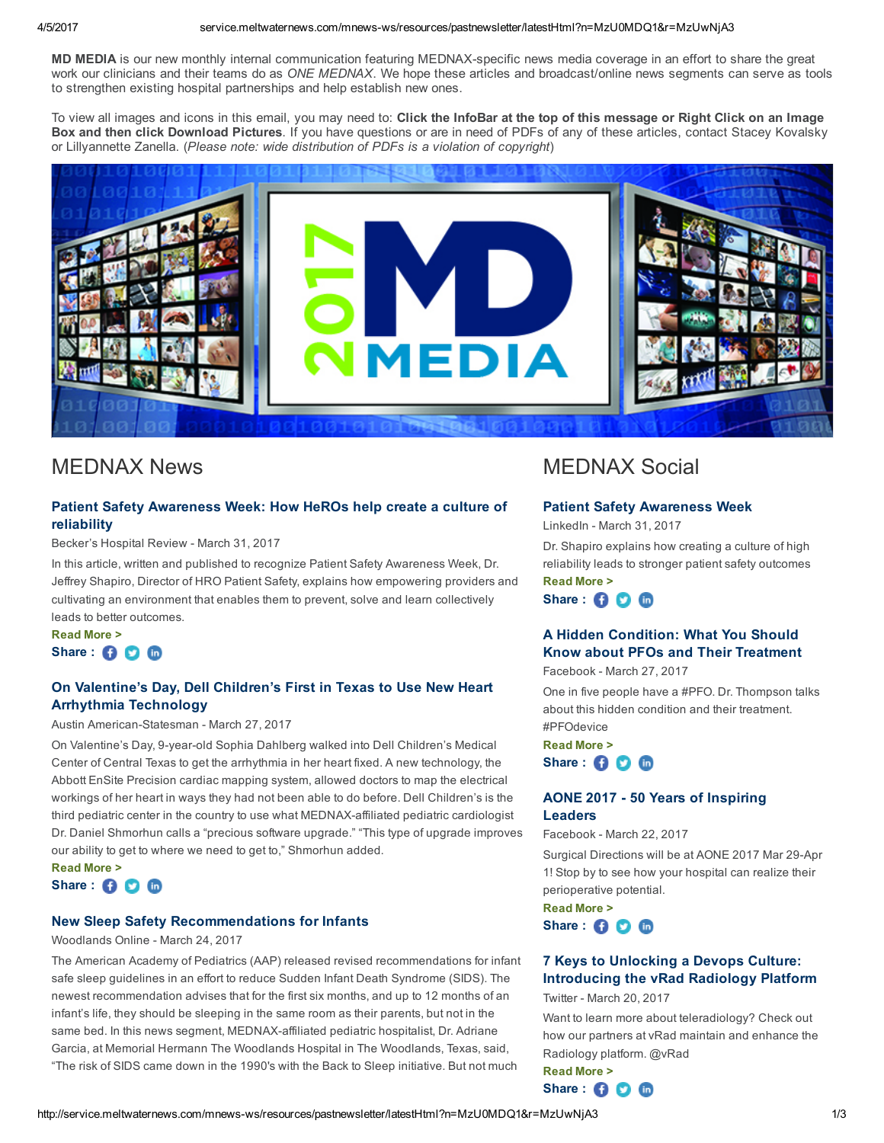MD MEDIA is our new monthly internal communication featuring MEDNAX-specific news media coverage in an effort to share the great work our clinicians and their teams do as ONE MEDNAX. We hope these articles and broadcast/online news segments can serve as tools to strengthen existing hospital partnerships and help establish new ones.

To view all images and icons in this email, you may need to: Click the InfoBar at the top of this message or Right Click on an Image Box and then click Download Pictures. If you have questions or are in need of PDFs of any of these articles, contact Stacey Kovalsky or Lillyannette Zanella. (Please note: wide distribution of PDFs is a violation of copyright)



# MEDNAX News

## Patient Safety [Awareness](http://service.meltwaternews.com/mnews/redirect.html?docId=8280551&userId=3201313&cId=93590&pId=11&agentId=557091&type=3&etype=USER_CREATED&t=Patient+Safety+Awareness+Week%3A+How+HeROs+help+create+a+culture+of+reliability&cdt=1490973420000&sn=Becker%E2%80%99s+Hospital+Review+&cc=United+States&surl=http%3A%2F%2Fwww.beckershospitalreview.com&an=Clicked+from+Archive%2C+Newsfeed%2C+or+Newsletter&ue=stacey_kovalsky@mednax.com&url=http%3A%2F%2Fwww.beckershospitalreview.com%2Fpatient-engagement%2Fhow-heros-help-create-a-culture-of-reliability.html%3Futm_content%3D50964686%26utm_medium%3Dsocial%26utm_source%3Dlinkedin) Week: How HeROs help create a culture of reliability

Becker's Hospital Review - March 31, 2017

In this article, written and published to recognize Patient Safety Awareness Week, Dr. Jeffrey Shapiro, Director of HRO Patient Safety, explains how empowering providers and cultivating an environment that enables them to prevent, solve and learn collectively leads to better outcomes.

[Read](http://service.meltwaternews.com/mnews/redirect.html?docId=8280551&userId=343354&cId=93590&pId=11&agentId=557091&type=3&etype=USER_CREATED&t=Patient+Safety+Awareness+Week%3A+How+HeROs+help+create+a+culture+of+reliability&cdt=1490973420000&sn=Becker%E2%80%99s+Hospital+Review+&cc=United+States&surl=http%3A%2F%2Fwww.beckershospitalreview.com&an=Clicked+from+Archive%2C+Newsfeed%2C+or+Newsletter&ue=stacey_kovalsky@mednax.com&url=http%3A%2F%2Fwww.beckershospitalreview.com%2Fpatient-engagement%2Fhow-heros-help-create-a-culture-of-reliability.html%3Futm_content%3D50964686%26utm_medium%3Dsocial%26utm_source%3Dlinkedin) More >

# Share : **O O O**

## On Valentine's Day, Dell Children's First in Texas to Use New Heart Arrhythmia [Technology](http://service.meltwaternews.com/mnews/redirect.html?docId=8280581&userId=3201313&cId=93590&pId=11&agentId=557091&type=3&etype=USER_CREATED&t=On+Valentine%E2%80%99s+Day%2C+Dell+Children%E2%80%99s+First+in+Texas+to+Use+New+Heart+Arrhythmia+Technology&cdt=1490627640000&sn=Austin+American-Statesman+&cc=United+States&surl=http%3A%2F%2Fwww.mystatesman.com&an=Clicked+from+Archive%2C+Newsfeed%2C+or+Newsletter&ue=stacey_kovalsky@mednax.com&url=http%3A%2F%2Fwww.mystatesman.com%2Fnews%2Flocal%2Fdell-children-first-texas-get-new-heart-arrhythmia-technology%2FDrQSyEuZsMyyuvDOMpuK2L%2F)

### Austin American-Statesman - March 27, 2017

On Valentine's Day, 9-year-old Sophia Dahlberg walked into Dell Children's Medical Center of Central Texas to get the arrhythmia in her heart fixed. A new technology, the Abbott EnSite Precision cardiac mapping system, allowed doctors to map the electrical workings of her heart in ways they had not been able to do before. Dell Children's is the third pediatric center in the country to use what MEDNAX-affiliated pediatric cardiologist Dr. Daniel Shmorhun calls a "precious software upgrade." "This type of upgrade improves our ability to get to where we need to get to," Shmorhun added.

[Read](http://service.meltwaternews.com/mnews/redirect.html?docId=8280581&userId=343354&cId=93590&pId=11&agentId=557091&type=3&etype=USER_CREATED&t=On+Valentine%E2%80%99s+Day%2C+Dell+Children%E2%80%99s+First+in+Texas+to+Use+New+Heart+Arrhythmia+Technology&cdt=1490627640000&sn=Austin+American-Statesman+&cc=United+States&surl=http%3A%2F%2Fwww.mystatesman.com&an=Clicked+from+Archive%2C+Newsfeed%2C+or+Newsletter&ue=stacey_kovalsky@mednax.com&url=http%3A%2F%2Fwww.mystatesman.com%2Fnews%2Flocal%2Fdell-children-first-texas-get-new-heart-arrhythmia-technology%2FDrQSyEuZsMyyuvDOMpuK2L%2F) More > Share : **6 6 6** 

## New Sleep Safety [Recommendations](http://service.meltwaternews.com/mnews/redirect.html?docId=8280569&userId=3201313&cId=93590&pId=11&agentId=557091&type=3&etype=USER_CREATED&t=New+Sleep+Safety+Recommendations+for+Infants&cdt=1490368440000&sn=Woodlands+Online+&cc=United+States&surl=http%3A%2F%2Fwww.woodlandsonline.com&an=Clicked+from+Archive%2C+Newsfeed%2C+or+Newsletter&ue=stacey_kovalsky@mednax.com&url=http%3A%2F%2Fwww.woodlandsonline.com%2Fnpps%2Fstory.cfm%3Fnppage%3D59284) for Infants

#### Woodlands Online - March 24, 2017

The American Academy of Pediatrics (AAP) released revised recommendations for infant safe sleep guidelines in an effort to reduce Sudden Infant Death Syndrome (SIDS). The newest recommendation advises that for the first six months, and up to 12 months of an infant's life, they should be sleeping in the same room as their parents, but not in the same bed. In this news segment, MEDNAX-affiliated pediatric hospitalist, Dr. Adriane Garcia, at Memorial Hermann The Woodlands Hospital in The Woodlands, Texas, said, "The risk of SIDS came down in the 1990's with the Back to Sleep initiative. But not much

# MEDNAX Social

#### Patient Safety [Awareness](http://service.meltwaternews.com/mnews/redirect.html?docId=8280605&userId=3201313&cId=93590&pId=11&agentId=557091&type=3&etype=USER_CREATED&t=Patient+Safety+Awareness+Week&cdt=1490974080000&sn=LinkedIn&cc=United+States&surl=http%3A%2F%2Fwww.linkedin.com&an=Clicked+from+Archive%2C+Newsfeed%2C+or+Newsletter&ue=stacey_kovalsky@mednax.com&url=https%3A%2F%2Fwww.linkedin.com%2Fhp%2Fupdate%2F6248243527780757505) Week

LinkedIn - March 31, 2017

Dr. Shapiro explains how creating a culture of high reliability leads to stronger patient safety outcomes [Read](http://service.meltwaternews.com/mnews/redirect.html?docId=8280605&userId=343354&cId=93590&pId=11&agentId=557091&type=3&etype=USER_CREATED&t=Patient+Safety+Awareness+Week&cdt=1490974080000&sn=LinkedIn&cc=United+States&surl=http%3A%2F%2Fwww.linkedin.com&an=Clicked+from+Archive%2C+Newsfeed%2C+or+Newsletter&ue=stacey_kovalsky@mednax.com&url=https%3A%2F%2Fwww.linkedin.com%2Fhp%2Fupdate%2F6248243527780757505) More >

Share : **000** 

# A Hidden [Condition:](http://service.meltwaternews.com/mnews/redirect.html?docId=8280591&userId=3201313&cId=93590&pId=11&agentId=557091&type=3&etype=USER_CREATED&t=A+Hidden+Condition%3A+What+You+Should+Know+about+PFOs+and+Their+Treatment&cdt=1490627640000&sn=Facebook+&cc=United+States&surl=http%3A%2F%2Fwww.facebook.com&an=Clicked+from+Archive%2C+Newsfeed%2C+or+Newsletter&ue=stacey_kovalsky@mednax.com&url=https%3A%2F%2Fwww.facebook.com%2FMednaxInc%2Fposts%2F1846128282341503) What You Should Know about PFOs and Their Treatment

Facebook - March 27, 2017

One in five people have a #PFO. Dr. Thompson talks about this hidden condition and their treatment. #PFOdevice

[Read](http://service.meltwaternews.com/mnews/redirect.html?docId=8280591&userId=343354&cId=93590&pId=11&agentId=557091&type=3&etype=USER_CREATED&t=A+Hidden+Condition%3A+What+You+Should+Know+about+PFOs+and+Their+Treatment&cdt=1490627640000&sn=Facebook+&cc=United+States&surl=http%3A%2F%2Fwww.facebook.com&an=Clicked+from+Archive%2C+Newsfeed%2C+or+Newsletter&ue=stacey_kovalsky@mednax.com&url=https%3A%2F%2Fwww.facebook.com%2FMednaxInc%2Fposts%2F1846128282341503) More > Share : **O O O** 

## AONE 2017 50 Years of [Inspiring](http://service.meltwaternews.com/mnews/redirect.html?docId=8280595&userId=3201313&cId=93590&pId=11&agentId=557091&type=3&etype=USER_CREATED&t=AONE+2017+-+50+Years+of+Inspiring+Leaders&cdt=1490195640000&sn=Facebook+&cc=United+States&surl=http%3A%2F%2Fwww.facebook.com&an=Clicked+from+Archive%2C+Newsfeed%2C+or+Newsletter&ue=stacey_kovalsky@mednax.com&url=https%3A%2F%2Fwww.facebook.com%2FMednaxInc%2Fposts%2F1843976322556699) Leaders

Facebook - March 22, 2017

Surgical Directions will be at AONE 2017 Mar 29-Apr 1! Stop by to see how your hospital can realize their perioperative potential.

[Read](http://service.meltwaternews.com/mnews/redirect.html?docId=8280595&userId=343354&cId=93590&pId=11&agentId=557091&type=3&etype=USER_CREATED&t=AONE+2017+-+50+Years+of+Inspiring+Leaders&cdt=1490195640000&sn=Facebook+&cc=United+States&surl=http%3A%2F%2Fwww.facebook.com&an=Clicked+from+Archive%2C+Newsfeed%2C+or+Newsletter&ue=stacey_kovalsky@mednax.com&url=https%3A%2F%2Fwww.facebook.com%2FMednaxInc%2Fposts%2F1843976322556699) More > Share : 6 0 m

# 7 Keys to Unlocking a Devops Culture: [Introducing](http://service.meltwaternews.com/mnews/redirect.html?docId=8280601&userId=3201313&cId=93590&pId=11&agentId=557091&type=3&etype=USER_CREATED&t=7+Keys+to+Unlocking+a+Devops+Culture%3A+Introducing+the+vRad+Radiology+Platform&cdt=1490012040000&sn=Twitter&cc=United+States&surl=http%3A%2F%2Ftwitter.com&an=Clicked+from+Archive%2C+Newsfeed%2C+or+Newsletter&ue=stacey_kovalsky@mednax.com&url=https%3A%2F%2Ftwitter.com%2FMEDNAX%2Fstatus%2F843927274827190272) the vRad Radiology Platform

Twitter - March 20, 2017

Want to learn more about teleradiology? Check out how our partners at vRad maintain and enhance the Radiology platform. @vRad [Read](http://service.meltwaternews.com/mnews/redirect.html?docId=8280601&userId=343354&cId=93590&pId=11&agentId=557091&type=3&etype=USER_CREATED&t=7+Keys+to+Unlocking+a+Devops+Culture%3A+Introducing+the+vRad+Radiology+Platform&cdt=1490012040000&sn=Twitter&cc=United+States&surl=http%3A%2F%2Ftwitter.com&an=Clicked+from+Archive%2C+Newsfeed%2C+or+Newsletter&ue=stacey_kovalsky@mednax.com&url=https%3A%2F%2Ftwitter.com%2FMEDNAX%2Fstatus%2F843927274827190272) More >

Share : **O O O** 

## http://service.meltwaternews.com/mnews-ws/resources/pastnewsletter/latestHtml?n=MzU0MDQ1&r=MzUwNjA3 1/3 1/3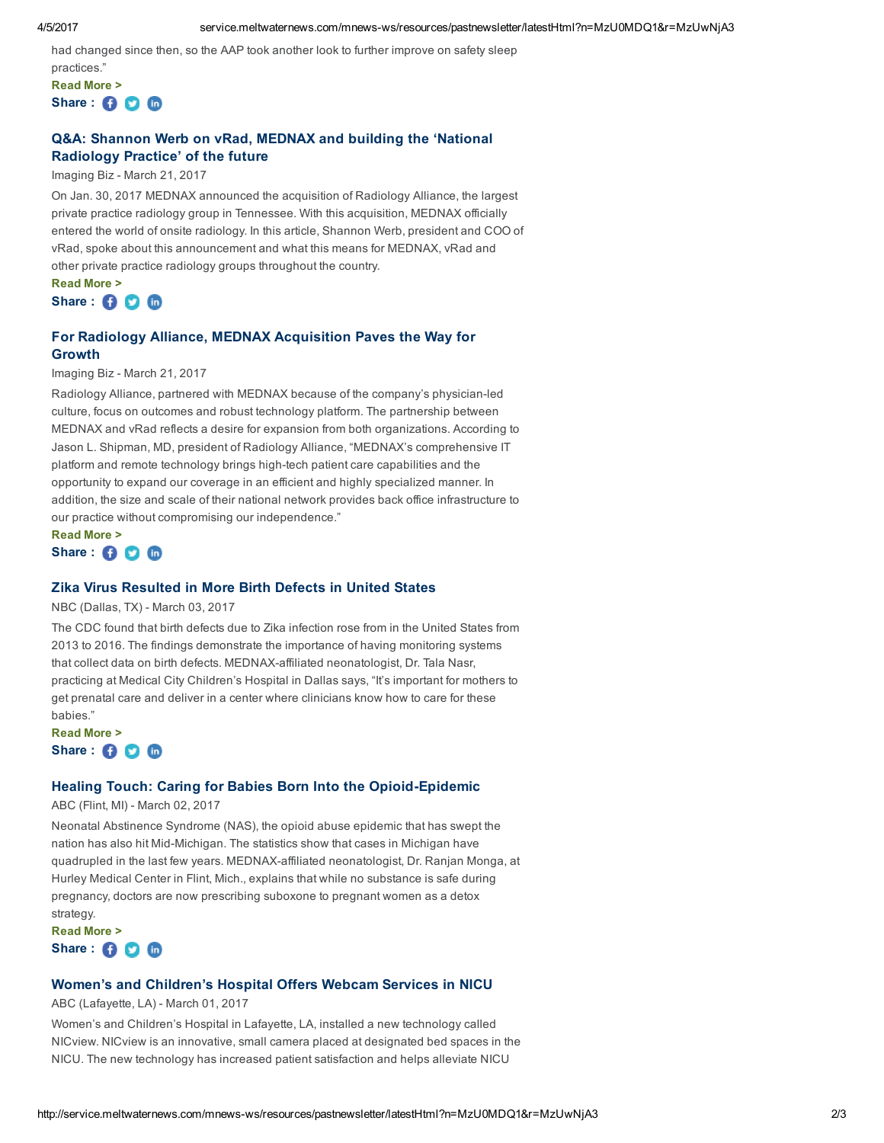had changed since then, so the AAP took another look to further improve on safety sleep

practices." [Read](http://service.meltwaternews.com/mnews/redirect.html?docId=8280569&userId=343354&cId=93590&pId=11&agentId=557091&type=3&etype=USER_CREATED&t=New+Sleep+Safety+Recommendations+for+Infants&cdt=1490368440000&sn=Woodlands+Online+&cc=United+States&surl=http%3A%2F%2Fwww.woodlandsonline.com&an=Clicked+from+Archive%2C+Newsfeed%2C+or+Newsletter&ue=stacey_kovalsky@mednax.com&url=http%3A%2F%2Fwww.woodlandsonline.com%2Fnpps%2Fstory.cfm%3Fnppage%3D59284) More > Share : 6 C C

# Q&A: Shannon Werb on vRad, MEDNAX and building the 'National [Radiology](http://service.meltwaternews.com/mnews/redirect.html?docId=8280559&userId=3201313&cId=93590&pId=11&agentId=557091&type=3&etype=USER_CREATED&t=Q%26A%3A+Shannon+Werb+on+vRad%2C+MEDNAX+and+building+the+%E2%80%98National+Radiology+Practice%E2%80%99+of+the+future&cdt=1490109240000&sn=Imaging+Biz+&cc=United+States&surl=http%3A%2F%2Fwww.imagingbiz.com&an=Clicked+from+Archive%2C+Newsfeed%2C+or+Newsletter&ue=stacey_kovalsky@mednax.com&url=http%3A%2F%2Fwww.imagingbiz.com%2Fportals%2Fmedical-imaging-review%2Ftopics%2Fimaging-informatics%2Fq-shannon-werb-vrad-mednax-and-building-%25E2%2580%2598national-radiology-practice%25E2%2580%2599-future) Practice' of the future

Imaging Biz - March 21, 2017

On Jan. 30, 2017 MEDNAX announced the acquisition of Radiology Alliance, the largest private practice radiology group in Tennessee. With this acquisition, MEDNAX officially entered the world of onsite radiology. In this article, Shannon Werb, president and COO of vRad, spoke about this announcement and what this means for MEDNAX, vRad and other private practice radiology groups throughout the country.

[Read](http://service.meltwaternews.com/mnews/redirect.html?docId=8280559&userId=343354&cId=93590&pId=11&agentId=557091&type=3&etype=USER_CREATED&t=Q%26A%3A+Shannon+Werb+on+vRad%2C+MEDNAX+and+building+the+%E2%80%98National+Radiology+Practice%E2%80%99+of+the+future&cdt=1490109240000&sn=Imaging+Biz+&cc=United+States&surl=http%3A%2F%2Fwww.imagingbiz.com&an=Clicked+from+Archive%2C+Newsfeed%2C+or+Newsletter&ue=stacey_kovalsky@mednax.com&url=http%3A%2F%2Fwww.imagingbiz.com%2Fportals%2Fmedical-imaging-review%2Ftopics%2Fimaging-informatics%2Fq-shannon-werb-vrad-mednax-and-building-%25E2%2580%2598national-radiology-practice%25E2%2580%2599-future) More > Share : **O O O** 

# For Radiology Alliance, MEDNAX [Acquisition](http://service.meltwaternews.com/mnews/redirect.html?docId=8280561&userId=3201313&cId=93590&pId=11&agentId=557091&type=3&etype=USER_CREATED&t=For+Radiology+Alliance%2C+MEDNAX+Acquisition+Paves+the+Way+for+Growth&cdt=1490109240000&sn=Imaging+Biz+&cc=United+States&surl=http%3A%2F%2Fwww.imagingbiz.com&an=Clicked+from+Archive%2C+Newsfeed%2C+or+Newsletter&ue=stacey_kovalsky@mednax.com&url=http%3A%2F%2Fwww.imagingbiz.com%2Fportals%2Fmedical-imaging-review%2Ftopics%2Fimaging-informatics%2Fradiology-alliance-mednax-acquisition-paves-way-growth) Paves the Way for Growth

### Imaging Biz - March 21, 2017

Radiology Alliance, partnered with MEDNAX because of the company's physician-led culture, focus on outcomes and robust technology platform. The partnership between MEDNAX and vRad reflects a desire for expansion from both organizations. According to Jason L. Shipman, MD, president of Radiology Alliance, "MEDNAX's comprehensive IT platform and remote technology brings high-tech patient care capabilities and the opportunity to expand our coverage in an efficient and highly specialized manner. In addition, the size and scale of their national network provides back office infrastructure to our practice without compromising our independence."

[Read](http://service.meltwaternews.com/mnews/redirect.html?docId=8280561&userId=343354&cId=93590&pId=11&agentId=557091&type=3&etype=USER_CREATED&t=For+Radiology+Alliance%2C+MEDNAX+Acquisition+Paves+the+Way+for+Growth&cdt=1490109240000&sn=Imaging+Biz+&cc=United+States&surl=http%3A%2F%2Fwww.imagingbiz.com&an=Clicked+from+Archive%2C+Newsfeed%2C+or+Newsletter&ue=stacey_kovalsky@mednax.com&url=http%3A%2F%2Fwww.imagingbiz.com%2Fportals%2Fmedical-imaging-review%2Ftopics%2Fimaging-informatics%2Fradiology-alliance-mednax-acquisition-paves-way-growth) More > Share : 6 0 m

## Zika Virus [Resulted](http://service.meltwaternews.com/mnews/redirect.html?docId=8280543&userId=3201313&cId=93590&pId=11&agentId=557091&type=3&etype=USER_CREATED&t=Zika+Virus+Resulted+in+More+Birth+Defects+in+United+States&cdt=1488557640000&sn=NBC+%28Dallas%2C+TX%29+&cc=United+States&surl=http%3A%2F%2Fwww.nbcdfw.com&an=Clicked+from+Archive%2C+Newsfeed%2C+or+Newsletter&ue=stacey_kovalsky@mednax.com&url=http%3A%2F%2Fwww.nbcdfw.com%2Fnews%2Fhealth%2FZika-Virus-Resulted-in-More-Birth-Defects-in-United-States-415268513.html) in More Birth Defects in United States

NBC (Dallas, TX) - March 03, 2017

The CDC found that birth defects due to Zika infection rose from in the United States from 2013 to 2016. The findings demonstrate the importance of having monitoring systems that collect data on birth defects. MEDNAX-affiliated neonatologist, Dr. Tala Nasr, practicing at Medical City Children's Hospital in Dallas says, "It's important for mothers to get prenatal care and deliver in a center where clinicians know how to care for these babies."

[Read](http://service.meltwaternews.com/mnews/redirect.html?docId=8280543&userId=343354&cId=93590&pId=11&agentId=557091&type=3&etype=USER_CREATED&t=Zika+Virus+Resulted+in+More+Birth+Defects+in+United+States&cdt=1488557640000&sn=NBC+%28Dallas%2C+TX%29+&cc=United+States&surl=http%3A%2F%2Fwww.nbcdfw.com&an=Clicked+from+Archive%2C+Newsfeed%2C+or+Newsletter&ue=stacey_kovalsky@mednax.com&url=http%3A%2F%2Fwww.nbcdfw.com%2Fnews%2Fhealth%2FZika-Virus-Resulted-in-More-Birth-Defects-in-United-States-415268513.html) More > Share : 6 0 m

# Healing Touch: Caring for Babies Born Into the Opioid-Epidemic

ABC (Flint, MI) - March 02, 2017

Neonatal Abstinence Syndrome (NAS), the opioid abuse epidemic that has swept the nation has also hit Mid-Michigan. The statistics show that cases in Michigan have quadrupled in the last few years. MEDNAX-affiliated neonatologist, Dr. Ranjan Monga, at Hurley Medical Center in Flint, Mich., explains that while no substance is safe during pregnancy, doctors are now prescribing suboxone to pregnant women as a detox strategy.

[Read](http://service.meltwaternews.com/mnews/redirect.html?docId=8280531&userId=343354&cId=93590&pId=11&agentId=557091&type=3&etype=USER_CREATED&t=Healing+Touch%3A+Caring+for+Babies+Born+Into+the+Opioid-Epidemic+&cdt=1488471240000&sn=ABC+%28Flint%2C+MI%29+&cc=United+States&surl=http%3A%2F%2Fwww.abc12.com&an=Clicked+from+Archive%2C+Newsfeed%2C+or+Newsletter&ue=stacey_kovalsky@mednax.com&url=http%3A%2F%2Fwww.abc12.com%2Fcontent%2Fnews%2FVolunteer-Cuddlers-provide-Healing-Touch-for-babies-born-to-moms-who-used-415293783.html) More > Share :

# Women's and [Children's](http://service.meltwaternews.com/mnews/redirect.html?docId=8280523&userId=3201313&cId=93590&pId=11&agentId=557091&type=3&etype=USER_CREATED&t=Women%E2%80%99s+and+Children%E2%80%99s+Hospital+Offers+Webcam+Services+in+NICU&cdt=1488384840000&sn=ABC+%28Lafayette%2C+LA%29+&cc=United+States&surl=http%3A%2F%2Fklfy.com&an=Clicked+from+Archive%2C+Newsfeed%2C+or+Newsletter&ue=stacey_kovalsky@mednax.com&url=http%3A%2F%2Fklfy.com%2F2017%2F03%2F01%2Fwomens-and-childrens-hospital-offers-webcam-service-within-its-neonatal-icu%2F) Hospital Offers Webcam Services in NICU

ABC (Lafayette, LA) - March 01, 2017

Women's and Children's Hospital in Lafayette, LA, installed a new technology called NICview. NICview is an innovative, small camera placed at designated bed spaces in the NICU. The new technology has increased patient satisfaction and helps alleviate NICU